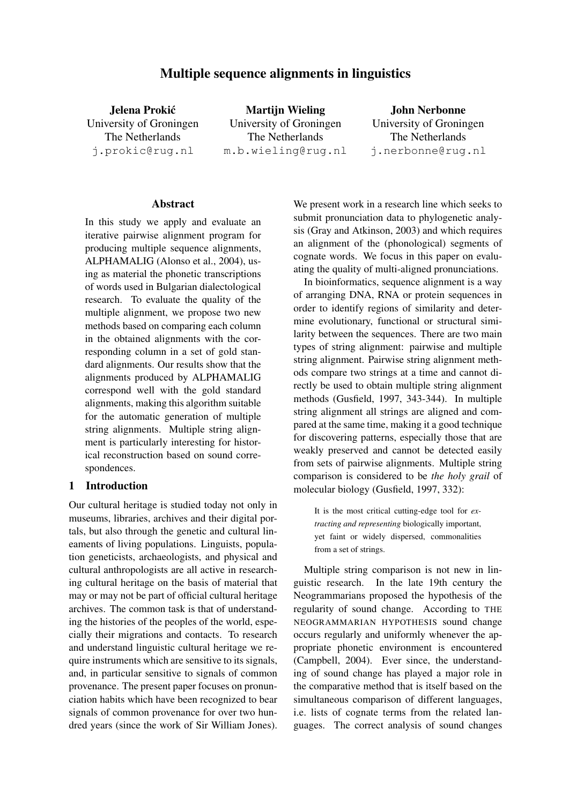# Multiple sequence alignments in linguistics

Jelena Prokic´ University of Groningen The Netherlands j.prokic@rug.nl

Martijn Wieling University of Groningen The Netherlands m.b.wieling@rug.nl

John Nerbonne University of Groningen The Netherlands j.nerbonne@rug.nl

#### Abstract

In this study we apply and evaluate an iterative pairwise alignment program for producing multiple sequence alignments, ALPHAMALIG (Alonso et al., 2004), using as material the phonetic transcriptions of words used in Bulgarian dialectological research. To evaluate the quality of the multiple alignment, we propose two new methods based on comparing each column in the obtained alignments with the corresponding column in a set of gold standard alignments. Our results show that the alignments produced by ALPHAMALIG correspond well with the gold standard alignments, making this algorithm suitable for the automatic generation of multiple string alignments. Multiple string alignment is particularly interesting for historical reconstruction based on sound correspondences.

### 1 Introduction

Our cultural heritage is studied today not only in museums, libraries, archives and their digital portals, but also through the genetic and cultural lineaments of living populations. Linguists, population geneticists, archaeologists, and physical and cultural anthropologists are all active in researching cultural heritage on the basis of material that may or may not be part of official cultural heritage archives. The common task is that of understanding the histories of the peoples of the world, especially their migrations and contacts. To research and understand linguistic cultural heritage we require instruments which are sensitive to its signals, and, in particular sensitive to signals of common provenance. The present paper focuses on pronunciation habits which have been recognized to bear signals of common provenance for over two hundred years (since the work of Sir William Jones).

We present work in a research line which seeks to submit pronunciation data to phylogenetic analysis (Gray and Atkinson, 2003) and which requires an alignment of the (phonological) segments of cognate words. We focus in this paper on evaluating the quality of multi-aligned pronunciations.

In bioinformatics, sequence alignment is a way of arranging DNA, RNA or protein sequences in order to identify regions of similarity and determine evolutionary, functional or structural similarity between the sequences. There are two main types of string alignment: pairwise and multiple string alignment. Pairwise string alignment methods compare two strings at a time and cannot directly be used to obtain multiple string alignment methods (Gusfield, 1997, 343-344). In multiple string alignment all strings are aligned and compared at the same time, making it a good technique for discovering patterns, especially those that are weakly preserved and cannot be detected easily from sets of pairwise alignments. Multiple string comparison is considered to be *the holy grail* of molecular biology (Gusfield, 1997, 332):

> It is the most critical cutting-edge tool for *extracting and representing* biologically important, yet faint or widely dispersed, commonalities from a set of strings.

Multiple string comparison is not new in linguistic research. In the late 19th century the Neogrammarians proposed the hypothesis of the regularity of sound change. According to THE NEOGRAMMARIAN HYPOTHESIS sound change occurs regularly and uniformly whenever the appropriate phonetic environment is encountered (Campbell, 2004). Ever since, the understanding of sound change has played a major role in the comparative method that is itself based on the simultaneous comparison of different languages, i.e. lists of cognate terms from the related languages. The correct analysis of sound changes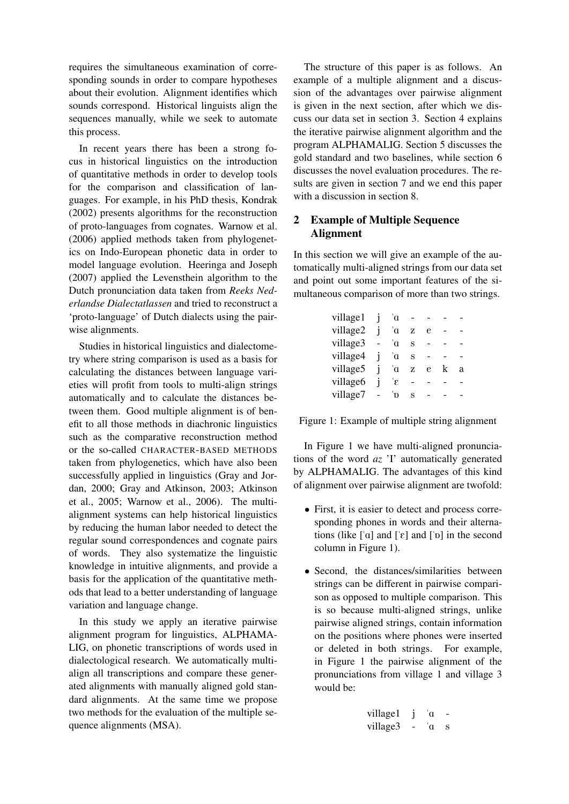requires the simultaneous examination of corresponding sounds in order to compare hypotheses about their evolution. Alignment identifies which sounds correspond. Historical linguists align the sequences manually, while we seek to automate this process.

In recent years there has been a strong focus in historical linguistics on the introduction of quantitative methods in order to develop tools for the comparison and classification of languages. For example, in his PhD thesis, Kondrak (2002) presents algorithms for the reconstruction of proto-languages from cognates. Warnow et al. (2006) applied methods taken from phylogenetics on Indo-European phonetic data in order to model language evolution. Heeringa and Joseph (2007) applied the Levensthein algorithm to the Dutch pronunciation data taken from *Reeks Nederlandse Dialectatlassen* and tried to reconstruct a 'proto-language' of Dutch dialects using the pairwise alignments.

Studies in historical linguistics and dialectometry where string comparison is used as a basis for calculating the distances between language varieties will profit from tools to multi-align strings automatically and to calculate the distances between them. Good multiple alignment is of benefit to all those methods in diachronic linguistics such as the comparative reconstruction method or the so-called CHARACTER-BASED METHODS taken from phylogenetics, which have also been successfully applied in linguistics (Gray and Jordan, 2000; Gray and Atkinson, 2003; Atkinson et al., 2005; Warnow et al., 2006). The multialignment systems can help historical linguistics by reducing the human labor needed to detect the regular sound correspondences and cognate pairs of words. They also systematize the linguistic knowledge in intuitive alignments, and provide a basis for the application of the quantitative methods that lead to a better understanding of language variation and language change.

In this study we apply an iterative pairwise alignment program for linguistics, ALPHAMA-LIG, on phonetic transcriptions of words used in dialectological research. We automatically multialign all transcriptions and compare these generated alignments with manually aligned gold standard alignments. At the same time we propose two methods for the evaluation of the multiple sequence alignments (MSA).

The structure of this paper is as follows. An example of a multiple alignment and a discussion of the advantages over pairwise alignment is given in the next section, after which we discuss our data set in section 3. Section 4 explains the iterative pairwise alignment algorithm and the program ALPHAMALIG. Section 5 discusses the gold standard and two baselines, while section 6 discusses the novel evaluation procedures. The results are given in section 7 and we end this paper with a discussion in section 8.

## 2 Example of Multiple Sequence Alignment

In this section we will give an example of the automatically multi-aligned strings from our data set and point out some important features of the simultaneous comparison of more than two strings.

| village1 | $\alpha$ |   |   |   |   |
|----------|----------|---|---|---|---|
| village2 | ά        | Z | e |   |   |
| village3 | 'n       | S |   |   |   |
| village4 | ά        | S |   |   |   |
| village5 | 'n       | Z | e | k | a |
| village6 | 'ε       |   |   |   |   |
| village7 | D        | S |   |   |   |

Figure 1: Example of multiple string alignment

In Figure 1 we have multi-aligned pronunciations of the word *az* 'I' automatically generated by ALPHAMALIG. The advantages of this kind of alignment over pairwise alignment are twofold:

- First, it is easier to detect and process corresponding phones in words and their alternations (like  $\lceil \alpha \rceil$  and  $\lceil \epsilon \rceil$  and  $\lceil \alpha \rceil$  in the second column in Figure 1).
- Second, the distances/similarities between strings can be different in pairwise comparison as opposed to multiple comparison. This is so because multi-aligned strings, unlike pairwise aligned strings, contain information on the positions where phones were inserted or deleted in both strings. For example, in Figure 1 the pairwise alignment of the pronunciations from village 1 and village 3 would be:

| village1 | ้ต |   |
|----------|----|---|
| village3 | ้ต | s |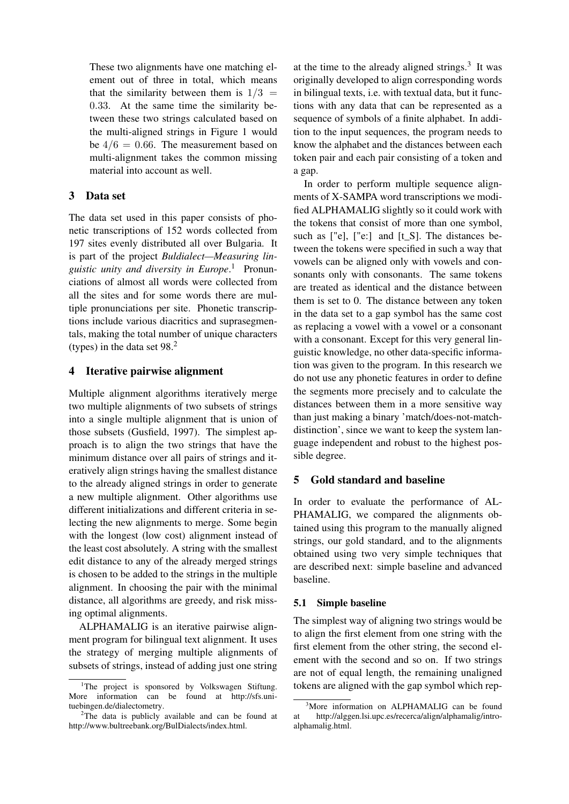These two alignments have one matching element out of three in total, which means that the similarity between them is  $1/3$  = 0.33. At the same time the similarity between these two strings calculated based on the multi-aligned strings in Figure 1 would be  $4/6 = 0.66$ . The measurement based on multi-alignment takes the common missing material into account as well.

### 3 Data set

The data set used in this paper consists of phonetic transcriptions of 152 words collected from 197 sites evenly distributed all over Bulgaria. It is part of the project *Buldialect—Measuring linguistic unity and diversity in Europe*. <sup>1</sup> Pronunciations of almost all words were collected from all the sites and for some words there are multiple pronunciations per site. Phonetic transcriptions include various diacritics and suprasegmentals, making the total number of unique characters (types) in the data set 98.<sup>2</sup>

### 4 Iterative pairwise alignment

Multiple alignment algorithms iteratively merge two multiple alignments of two subsets of strings into a single multiple alignment that is union of those subsets (Gusfield, 1997). The simplest approach is to align the two strings that have the minimum distance over all pairs of strings and iteratively align strings having the smallest distance to the already aligned strings in order to generate a new multiple alignment. Other algorithms use different initializations and different criteria in selecting the new alignments to merge. Some begin with the longest (low cost) alignment instead of the least cost absolutely. A string with the smallest edit distance to any of the already merged strings is chosen to be added to the strings in the multiple alignment. In choosing the pair with the minimal distance, all algorithms are greedy, and risk missing optimal alignments.

ALPHAMALIG is an iterative pairwise alignment program for bilingual text alignment. It uses the strategy of merging multiple alignments of subsets of strings, instead of adding just one string

at the time to the already aligned strings. $3$  It was originally developed to align corresponding words in bilingual texts, i.e. with textual data, but it functions with any data that can be represented as a sequence of symbols of a finite alphabet. In addition to the input sequences, the program needs to know the alphabet and the distances between each token pair and each pair consisting of a token and a gap.

In order to perform multiple sequence alignments of X-SAMPA word transcriptions we modified ALPHAMALIG slightly so it could work with the tokens that consist of more than one symbol, such as ["e], ["e:] and [t\_S]. The distances between the tokens were specified in such a way that vowels can be aligned only with vowels and consonants only with consonants. The same tokens are treated as identical and the distance between them is set to 0. The distance between any token in the data set to a gap symbol has the same cost as replacing a vowel with a vowel or a consonant with a consonant. Except for this very general linguistic knowledge, no other data-specific information was given to the program. In this research we do not use any phonetic features in order to define the segments more precisely and to calculate the distances between them in a more sensitive way than just making a binary 'match/does-not-matchdistinction', since we want to keep the system language independent and robust to the highest possible degree.

### 5 Gold standard and baseline

In order to evaluate the performance of AL-PHAMALIG, we compared the alignments obtained using this program to the manually aligned strings, our gold standard, and to the alignments obtained using two very simple techniques that are described next: simple baseline and advanced baseline.

#### 5.1 Simple baseline

The simplest way of aligning two strings would be to align the first element from one string with the first element from the other string, the second element with the second and so on. If two strings are not of equal length, the remaining unaligned tokens are aligned with the gap symbol which rep-

<sup>&</sup>lt;sup>1</sup>The project is sponsored by Volkswagen Stiftung. More information can be found at http://sfs.unituebingen.de/dialectometry.

<sup>&</sup>lt;sup>2</sup>The data is publicly available and can be found at http://www.bultreebank.org/BulDialects/index.html.

<sup>&</sup>lt;sup>3</sup>More information on ALPHAMALIG can be found at http://alggen.lsi.upc.es/recerca/align/alphamalig/introalphamalig.html.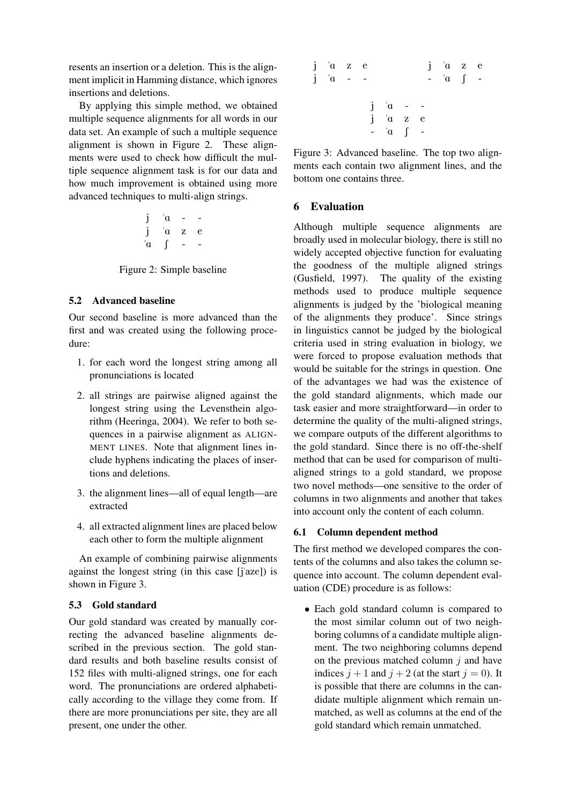resents an insertion or a deletion. This is the alignment implicit in Hamming distance, which ignores insertions and deletions.

By applying this simple method, we obtained multiple sequence alignments for all words in our data set. An example of such a multiple sequence alignment is shown in Figure 2. These alignments were used to check how difficult the multiple sequence alignment task is for our data and how much improvement is obtained using more advanced techniques to multi-align strings.

$$
\begin{array}{ccc}\nj & \alpha & - & - \\
j & \alpha & z & e \\
\alpha & \beta & - & -\n\end{array}
$$

Figure 2: Simple baseline

### 5.2 Advanced baseline

Our second baseline is more advanced than the first and was created using the following procedure:

- 1. for each word the longest string among all pronunciations is located
- 2. all strings are pairwise aligned against the longest string using the Levensthein algorithm (Heeringa, 2004). We refer to both sequences in a pairwise alignment as ALIGN-MENT LINES. Note that alignment lines include hyphens indicating the places of insertions and deletions.
- 3. the alignment lines—all of equal length—are extracted
- 4. all extracted alignment lines are placed below each other to form the multiple alignment

An example of combining pairwise alignments against the longest string (in this case [j'aze]) is shown in Figure 3.

### 5.3 Gold standard

Our gold standard was created by manually correcting the advanced baseline alignments described in the previous section. The gold standard results and both baseline results consist of 152 files with multi-aligned strings, one for each word. The pronunciations are ordered alphabetically according to the village they come from. If there are more pronunciations per site, they are all present, one under the other.

| $j$ $\alpha$ $z$ $e$<br>$j \alpha$ - - |  |                                                           |  | $j$ $a$ $z$ $e$<br>$-$ a $\int$ - |  |
|----------------------------------------|--|-----------------------------------------------------------|--|-----------------------------------|--|
|                                        |  | $j \alpha$ - -<br>$j$ $a$ $z$ $e$<br>$ \alpha$ $\int$ $-$ |  |                                   |  |

Figure 3: Advanced baseline. The top two alignments each contain two alignment lines, and the bottom one contains three.

## 6 Evaluation

Although multiple sequence alignments are broadly used in molecular biology, there is still no widely accepted objective function for evaluating the goodness of the multiple aligned strings (Gusfield, 1997). The quality of the existing methods used to produce multiple sequence alignments is judged by the 'biological meaning of the alignments they produce'. Since strings in linguistics cannot be judged by the biological criteria used in string evaluation in biology, we were forced to propose evaluation methods that would be suitable for the strings in question. One of the advantages we had was the existence of the gold standard alignments, which made our task easier and more straightforward—in order to determine the quality of the multi-aligned strings, we compare outputs of the different algorithms to the gold standard. Since there is no off-the-shelf method that can be used for comparison of multialigned strings to a gold standard, we propose two novel methods—one sensitive to the order of columns in two alignments and another that takes into account only the content of each column.

## 6.1 Column dependent method

The first method we developed compares the contents of the columns and also takes the column sequence into account. The column dependent evaluation (CDE) procedure is as follows:

• Each gold standard column is compared to the most similar column out of two neighboring columns of a candidate multiple alignment. The two neighboring columns depend on the previous matched column  $i$  and have indices  $j + 1$  and  $j + 2$  (at the start  $j = 0$ ). It is possible that there are columns in the candidate multiple alignment which remain unmatched, as well as columns at the end of the gold standard which remain unmatched.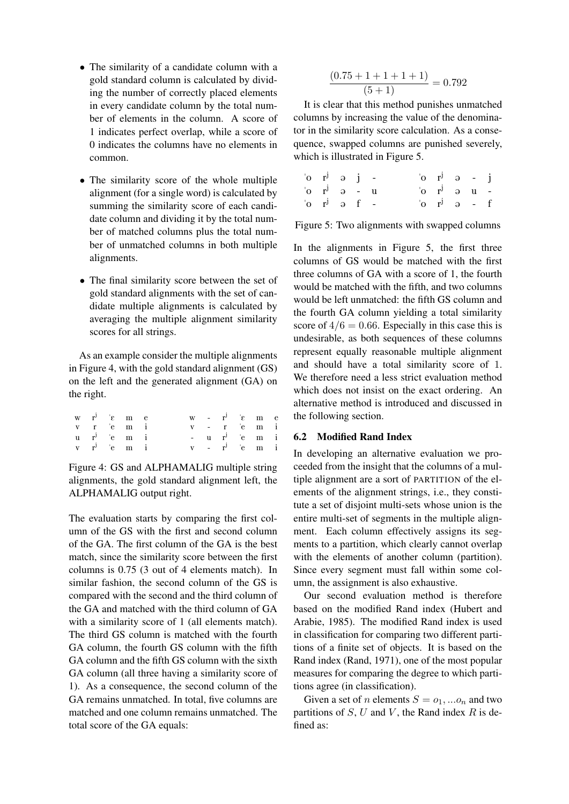- The similarity of a candidate column with a gold standard column is calculated by dividing the number of correctly placed elements in every candidate column by the total number of elements in the column. A score of 1 indicates perfect overlap, while a score of 0 indicates the columns have no elements in common.
- The similarity score of the whole multiple alignment (for a single word) is calculated by summing the similarity score of each candidate column and dividing it by the total number of matched columns plus the total number of unmatched columns in both multiple alignments.
- The final similarity score between the set of gold standard alignments with the set of candidate multiple alignments is calculated by averaging the multiple alignment similarity scores for all strings.

As an example consider the multiple alignments in Figure 4, with the gold standard alignment (GS) on the left and the generated alignment (GA) on the right.

|  | $w$ $r^j$ ' $\varepsilon$ m $e$ |  |  | $w - r^{j}$ ' $\varepsilon$ m $e$ |  |
|--|---------------------------------|--|--|-----------------------------------|--|
|  | v r 'e m i                      |  |  | $v - r$ 'e m i                    |  |
|  | u r <sup>J</sup> 'e m i         |  |  | $- u r$ 'e m i                    |  |
|  | $v$ $r^j$ 'e m i                |  |  | $v - r^{j}$ 'e m i                |  |

Figure 4: GS and ALPHAMALIG multiple string alignments, the gold standard alignment left, the ALPHAMALIG output right.

The evaluation starts by comparing the first column of the GS with the first and second column of the GA. The first column of the GA is the best match, since the similarity score between the first columns is 0.75 (3 out of 4 elements match). In similar fashion, the second column of the GS is compared with the second and the third column of the GA and matched with the third column of GA with a similarity score of 1 (all elements match). The third GS column is matched with the fourth GA column, the fourth GS column with the fifth GA column and the fifth GS column with the sixth GA column (all three having a similarity score of 1). As a consequence, the second column of the GA remains unmatched. In total, five columns are matched and one column remains unmatched. The total score of the GA equals:

$$
\frac{(0.75+1+1+1+1)}{(5+1)} = 0.792
$$

It is clear that this method punishes unmatched columns by increasing the value of the denominator in the similarity score calculation. As a consequence, swapped columns are punished severely, which is illustrated in Figure 5.

| $\sigma$ $\vec{r}$ $\theta$ $\vec{j}$ -                                                                                                                                                                                                                                |  |  | $\begin{bmatrix} 0 & r^{j} & \vartheta & - & j \end{bmatrix}$ |  |  |
|------------------------------------------------------------------------------------------------------------------------------------------------------------------------------------------------------------------------------------------------------------------------|--|--|---------------------------------------------------------------|--|--|
| $\int_0^1$ o $r^j$ o $\int_0^1$ o $\int_0^1$ o $\int_0^1$ o $\int_0^1$ o $\int_0^1$ o $\int_0^1$ o $\int_0^1$ o $\int_0^1$ o $\int_0^1$ o $\int_0^1$ o $\int_0^1$ o $\int_0^1$ o $\int_0^1$ o $\int_0^1$ o $\int_0^1$ o $\int_0^1$ o $\int_0^1$ o $\int_0^1$ o $\int_$ |  |  | $\sigma$ or $\sigma$ is the object                            |  |  |
| $\cdot$ o $r^j$ a f -                                                                                                                                                                                                                                                  |  |  | $\alpha$ o $r^j$ a - f                                        |  |  |

Figure 5: Two alignments with swapped columns

In the alignments in Figure 5, the first three columns of GS would be matched with the first three columns of GA with a score of 1, the fourth would be matched with the fifth, and two columns would be left unmatched: the fifth GS column and the fourth GA column yielding a total similarity score of  $4/6 = 0.66$ . Especially in this case this is undesirable, as both sequences of these columns represent equally reasonable multiple alignment and should have a total similarity score of 1. We therefore need a less strict evaluation method which does not insist on the exact ordering. An alternative method is introduced and discussed in the following section.

#### 6.2 Modified Rand Index

In developing an alternative evaluation we proceeded from the insight that the columns of a multiple alignment are a sort of PARTITION of the elements of the alignment strings, i.e., they constitute a set of disjoint multi-sets whose union is the entire multi-set of segments in the multiple alignment. Each column effectively assigns its segments to a partition, which clearly cannot overlap with the elements of another column (partition). Since every segment must fall within some column, the assignment is also exhaustive.

Our second evaluation method is therefore based on the modified Rand index (Hubert and Arabie, 1985). The modified Rand index is used in classification for comparing two different partitions of a finite set of objects. It is based on the Rand index (Rand, 1971), one of the most popular measures for comparing the degree to which partitions agree (in classification).

Given a set of *n* elements  $S = o_1, \dots o_n$  and two partitions of  $S, U$  and  $V$ , the Rand index  $R$  is defined as: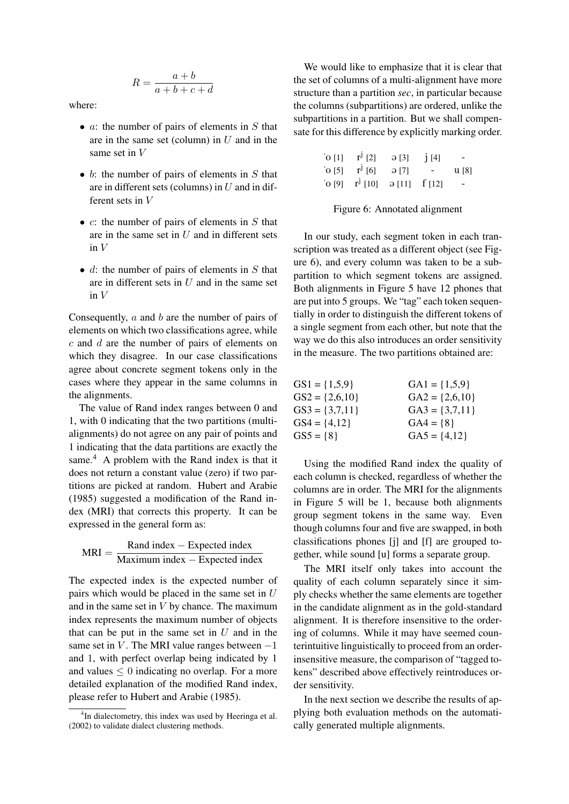$$
R = \frac{a+b}{a+b+c+d}
$$

where:

- $a$ : the number of pairs of elements in  $S$  that are in the same set (column) in  $U$  and in the same set in V
- $b$ : the number of pairs of elements in  $S$  that are in different sets (columns) in  $U$  and in different sets in V
- $c$ : the number of pairs of elements in  $S$  that are in the same set in  $U$  and in different sets in V
- $d$ : the number of pairs of elements in  $S$  that are in different sets in  $U$  and in the same set in  $V$

Consequently, a and b are the number of pairs of elements on which two classifications agree, while c and d are the number of pairs of elements on which they disagree. In our case classifications agree about concrete segment tokens only in the cases where they appear in the same columns in the alignments.

The value of Rand index ranges between 0 and 1, with 0 indicating that the two partitions (multialignments) do not agree on any pair of points and 1 indicating that the data partitions are exactly the same.<sup>4</sup> A problem with the Rand index is that it does not return a constant value (zero) if two partitions are picked at random. Hubert and Arabie (1985) suggested a modification of the Rand index (MRI) that corrects this property. It can be expressed in the general form as:

 $MRI = \frac{Rand index - Expected index}{M}$ Maximum index − Expected index

The expected index is the expected number of pairs which would be placed in the same set in  $U$ and in the same set in  $V$  by chance. The maximum index represents the maximum number of objects that can be put in the same set in  $U$  and in the same set in V. The MRI value ranges between  $-1$ and 1, with perfect overlap being indicated by 1 and values  $\leq 0$  indicating no overlap. For a more detailed explanation of the modified Rand index, please refer to Hubert and Arabie (1985).

We would like to emphasize that it is clear that the set of columns of a multi-alignment have more structure than a partition *sec*, in particular because the columns (subpartitions) are ordered, unlike the subpartitions in a partition. But we shall compensate for this difference by explicitly marking order.

| $^{\circ}$ O [1] | $r^{j}$ [2]                                    | $\Theta$ [3] | j[4]   | -                        |
|------------------|------------------------------------------------|--------------|--------|--------------------------|
| $^{\circ}$ O [5] | $r^{j}$ [6]                                    | ə [7]        | $\sim$ | u [8]                    |
|                  | $'o [9]$ $r^{J} [10]$ $\partial [11]$ $f [12]$ |              |        | $\overline{\phantom{a}}$ |

Figure 6: Annotated alignment

In our study, each segment token in each transcription was treated as a different object (see Figure 6), and every column was taken to be a subpartition to which segment tokens are assigned. Both alignments in Figure 5 have 12 phones that are put into 5 groups. We "tag" each token sequentially in order to distinguish the different tokens of a single segment from each other, but note that the way we do this also introduces an order sensitivity in the measure. The two partitions obtained are:

| $GS1 = \{1,5,9\}$  | $GA1 = \{1,5,9\}$  |
|--------------------|--------------------|
| $GS2 = \{2,6,10\}$ | $GA2 = \{2,6,10\}$ |
| $GS3 = \{3,7,11\}$ | $GA3 = \{3,7,11\}$ |
| $GS4 = \{4,12\}$   | $GA4 = \{8\}$      |
| $GS5 = \{8\}$      | $GAS = \{4,12\}$   |

Using the modified Rand index the quality of each column is checked, regardless of whether the columns are in order. The MRI for the alignments in Figure 5 will be 1, because both alignments group segment tokens in the same way. Even though columns four and five are swapped, in both classifications phones [j] and [f] are grouped together, while sound [u] forms a separate group.

The MRI itself only takes into account the quality of each column separately since it simply checks whether the same elements are together in the candidate alignment as in the gold-standard alignment. It is therefore insensitive to the ordering of columns. While it may have seemed counterintuitive linguistically to proceed from an orderinsensitive measure, the comparison of "tagged tokens" described above effectively reintroduces order sensitivity.

In the next section we describe the results of applying both evaluation methods on the automatically generated multiple alignments.

<sup>&</sup>lt;sup>4</sup>In dialectometry, this index was used by Heeringa et al. (2002) to validate dialect clustering methods.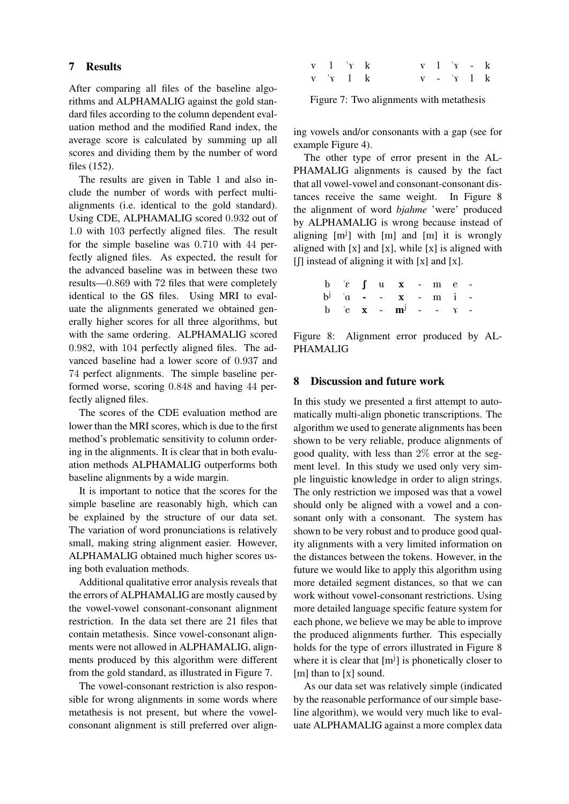### 7 Results

After comparing all files of the baseline algorithms and ALPHAMALIG against the gold standard files according to the column dependent evaluation method and the modified Rand index, the average score is calculated by summing up all scores and dividing them by the number of word files (152).

The results are given in Table 1 and also include the number of words with perfect multialignments (i.e. identical to the gold standard). Using CDE, ALPHAMALIG scored 0.932 out of 1.0 with 103 perfectly aligned files. The result for the simple baseline was 0.710 with 44 perfectly aligned files. As expected, the result for the advanced baseline was in between these two results—0.869 with 72 files that were completely identical to the GS files. Using MRI to evaluate the alignments generated we obtained generally higher scores for all three algorithms, but with the same ordering. ALPHAMALIG scored 0.982, with 104 perfectly aligned files. The advanced baseline had a lower score of 0.937 and 74 perfect alignments. The simple baseline performed worse, scoring 0.848 and having 44 perfectly aligned files.

The scores of the CDE evaluation method are lower than the MRI scores, which is due to the first method's problematic sensitivity to column ordering in the alignments. It is clear that in both evaluation methods ALPHAMALIG outperforms both baseline alignments by a wide margin.

It is important to notice that the scores for the simple baseline are reasonably high, which can be explained by the structure of our data set. The variation of word pronunciations is relatively small, making string alignment easier. However, ALPHAMALIG obtained much higher scores using both evaluation methods.

Additional qualitative error analysis reveals that the errors of ALPHAMALIG are mostly caused by the vowel-vowel consonant-consonant alignment restriction. In the data set there are 21 files that contain metathesis. Since vowel-consonant alignments were not allowed in ALPHAMALIG, alignments produced by this algorithm were different from the gold standard, as illustrated in Figure 7.

The vowel-consonant restriction is also responsible for wrong alignments in some words where metathesis is not present, but where the vowelconsonant alignment is still preferred over align-

| $v = 1$ $x = k$              |  |  | $v-1$ $v- k$ |  |
|------------------------------|--|--|--------------|--|
| $v \quad 'x \quad 1 \quad k$ |  |  | $v - 'x 1 k$ |  |

Figure 7: Two alignments with metathesis

ing vowels and/or consonants with a gap (see for example Figure 4).

The other type of error present in the AL-PHAMALIG alignments is caused by the fact that all vowel-vowel and consonant-consonant distances receive the same weight. In Figure 8 the alignment of word *bjahme* 'were' produced by ALPHAMALIG is wrong because instead of aligning [m<sup>j</sup>] with [m] and [m] it is wrongly aligned with  $[x]$  and  $[x]$ , while  $[x]$  is aligned with  $\left[\left[\right]\right]$  instead of aligning it with  $\left[x\right]$  and  $\left[x\right]$ .

|  |  | $\begin{array}{cccccccccccccc} b & c & f & u & x & - & m & e & - \end{array}$ |  |  |
|--|--|-------------------------------------------------------------------------------|--|--|
|  |  | $b^j$ $a$ - - $x$ - $m$ i -                                                   |  |  |
|  |  | b $e$ <b>x</b> - $m^{j}$ - - $\gamma$ -                                       |  |  |

Figure 8: Alignment error produced by AL-PHAMALIG

### 8 Discussion and future work

In this study we presented a first attempt to automatically multi-align phonetic transcriptions. The algorithm we used to generate alignments has been shown to be very reliable, produce alignments of good quality, with less than  $2\%$  error at the segment level. In this study we used only very simple linguistic knowledge in order to align strings. The only restriction we imposed was that a vowel should only be aligned with a vowel and a consonant only with a consonant. The system has shown to be very robust and to produce good quality alignments with a very limited information on the distances between the tokens. However, in the future we would like to apply this algorithm using more detailed segment distances, so that we can work without vowel-consonant restrictions. Using more detailed language specific feature system for each phone, we believe we may be able to improve the produced alignments further. This especially holds for the type of errors illustrated in Figure 8 where it is clear that  $[m<sup>j</sup>]$  is phonetically closer to [m] than to [x] sound.

As our data set was relatively simple (indicated by the reasonable performance of our simple baseline algorithm), we would very much like to evaluate ALPHAMALIG against a more complex data